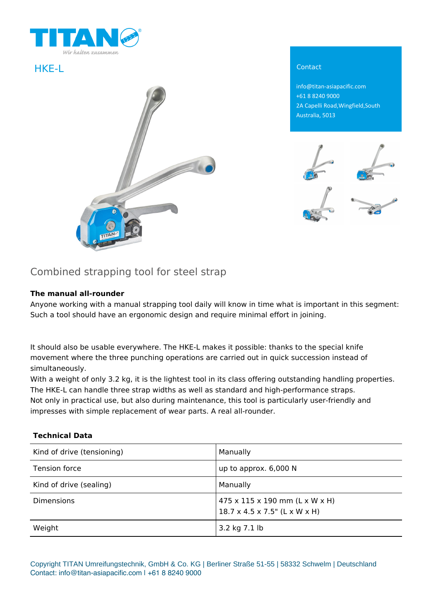



info@titan-asiapacific.com +61 8 8240 9000 2A Capelli Road,Wingfield,South Australia, 5013



# Combined strapping tool for steel strap

## **The manual all-rounder**

Anyone working with a manual strapping tool daily will know in time what is important in this segment: Such a tool should have an ergonomic design and require minimal effort in joining.

It should also be usable everywhere. The HKE-L makes it possible: thanks to the special knife movement where the three punching operations are carried out in quick succession instead of simultaneously.

With a weight of only 3.2 kg, it is the lightest tool in its class offering outstanding handling properties. The HKE-L can handle three strap widths as well as standard and high-performance straps. Not only in practical use, but also during maintenance, this tool is particularly user-friendly and impresses with simple replacement of wear parts. A real all-rounder.

#### **Technical Data**

| Kind of drive (tensioning) | Manually                                                                                 |
|----------------------------|------------------------------------------------------------------------------------------|
| Tension force              | up to approx. 6,000 N                                                                    |
| Kind of drive (sealing)    | Manually                                                                                 |
| <b>Dimensions</b>          | $475 \times 115 \times 190$ mm (L x W x H)<br>$18.7 \times 4.5 \times 7.5$ " (L x W x H) |
| Weight                     | 3.2 kg 7.1 lb                                                                            |